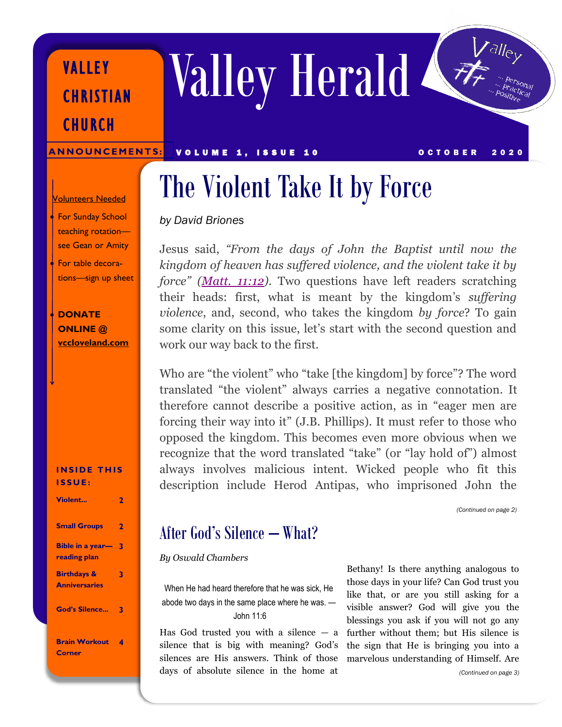Valley Herald

ANNOUNCEMENTS: VOLUME 1, ISSUE 10 OCTOBER 2020

# The Violent Take It by Force

### *by David Briones*

Jesus said, *"From the days of John the Baptist until now the kingdom of heaven has suffered violence, and the violent take it by force" ([Matt. 11:12\)](http://biblia.com/bible/esv/Matt.%2011.12)*. Two questions have left readers scratching their heads: first, what is meant by the kingdom's *suffering violence*, and, second, who takes the kingdom *by force*? To gain some clarity on this issue, let's start with the second question and work our way back to the first.

Who are "the violent" who "take [the kingdom] by force"? The word translated "the violent" always carries a negative connotation. It therefore cannot describe a positive action, as in "eager men are forcing their way into it" (J.B. Phillips). It must refer to those who opposed the kingdom. This becomes even more obvious when we recognize that the word translated "take" (or "lay hold of") almost always involves malicious intent. Wicked people who fit this description include Herod Antipas, who imprisoned John the

*(Continued on page 2)*

## After God's Silence – What?

#### *By Oswald Chambers*

When He had heard therefore that he was sick, He abode two days in the same place where he was. — John 11:6

Has God trusted you with a silence  $-$  a silence that is big with meaning? God's silences are His answers. Think of those days of absolute silence in the home at

Bethany! Is there anything analogous to those days in your life? Can God trust you like that, or are you still asking for a visible answer? God will give you the blessings you ask if you will not go any further without them; but His silence is the sign that He is bringing you into a marvelous understanding of Himself. Are

**• For Sunday School** teaching rotation—

Volunteers Needed

VALLEY

**CHURCH** 

**CHRISTIAN** 

see Gean or Amity For table decorations—sign up sheet

• **DONATE ONLINE @ [vccloveland.com](https://vccloveland.com)**

**INSIDE THIS I S S U E :**

| <b>Violent</b>                                 |   |
|------------------------------------------------|---|
| <b>Small Groups</b>                            | 2 |
| <b>Bible in a year-</b><br>reading plan        | 3 |
| <b>Birthdays &amp;</b><br><b>Anniversaries</b> | 3 |
| <b>God's Silence</b>                           |   |
| <b>Brain Workout</b><br>Corner                 |   |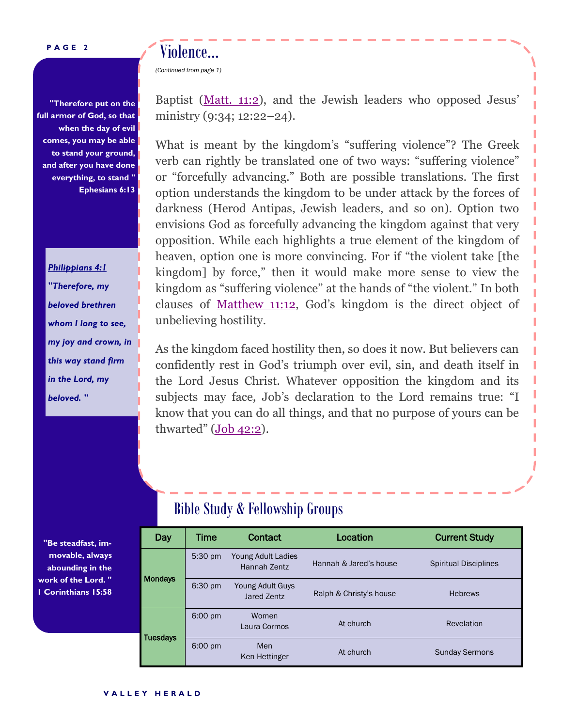#### **P A G E 2**

**"Therefore put on the full armor of God, so that when the day of evil comes, you may be able to stand your ground, and after you have done everything, to stand " Ephesians 6:13** 

Violence...

*(Continued from page 1)*

*Philippians 4:1 "Therefore, my beloved brethren whom I long to see, my joy and crown, in this way stand firm in the Lord, my beloved. "* 

Baptist ([Matt. 11:2\)](http://biblia.com/bible/esv/Matt.%2011.2), and the Jewish leaders who opposed Jesus' ministry (9:34; 12:22–24).

What is meant by the kingdom's "suffering violence"? The Greek verb can rightly be translated one of two ways: "suffering violence" or "forcefully advancing." Both are possible translations. The first option understands the kingdom to be under attack by the forces of darkness (Herod Antipas, Jewish leaders, and so on). Option two envisions God as forcefully advancing the kingdom against that very opposition. While each highlights a true element of the kingdom of heaven, option one is more convincing. For if "the violent take [the kingdom] by force," then it would make more sense to view the kingdom as "suffering violence" at the hands of "the violent." In both clauses of [Matthew 11:12,](http://biblia.com/bible/esv/Matthew%2011.12) God's kingdom is the direct object of unbelieving hostility.

As the kingdom faced hostility then, so does it now. But believers can confidently rest in God's triumph over evil, sin, and death itself in the Lord Jesus Christ. Whatever opposition the kingdom and its subjects may face, Job's declaration to the Lord remains true: "I know that you can do all things, and that no purpose of yours can be thwarted" (Job [42:2\).](http://biblia.com/bible/esv/Job%2042.2)

### Bible Study & Fellowship Groups

|  | Day             | Time              | <b>Contact</b>                     | Location                | <b>Current Study</b>         |
|--|-----------------|-------------------|------------------------------------|-------------------------|------------------------------|
|  | <b>Mondays</b>  | $5:30 \text{ pm}$ | Young Adult Ladies<br>Hannah Zentz | Hannah & Jared's house  | <b>Spiritual Disciplines</b> |
|  |                 | 6:30 pm           | Young Adult Guys<br>Jared Zentz    | Ralph & Christy's house | <b>Hebrews</b>               |
|  | <b>Tuesdays</b> | $6:00 \text{ pm}$ | Women<br>Laura Cormos              | At church               | Revelation                   |
|  |                 | $6:00 \text{ pm}$ | Men<br>Ken Hettinger               | At church               | <b>Sunday Sermons</b>        |

**"Be steadfast, immovable, always abounding in the work of the Lord. " 1 Corinthians 15:58**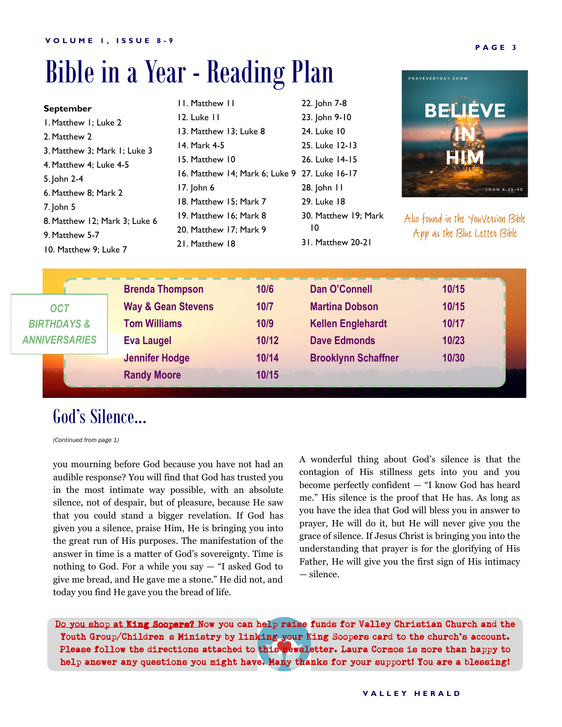# Bible in a Year - Reading Plan

| <b>September</b><br>I. Matthew I; Luke 2<br>2. Matthew 2<br>3. Matthew 3: Mark 1: Luke 3<br>4. Matthew 4; Luke 4-5<br>5. John 2-4<br>6. Matthew 8; Mark 2<br>$7$ . John 5<br>8. Matthew 12; Mark 3; Luke 6<br>9. Matthew 5-7<br>10. Matthew 9: Luke 7 |  |                                                                                                                                                    | 11. Matthew 11<br>12. Luke 11<br>13. Matthew 13; Luke 8<br>14. Mark 4-5<br>15. Matthew 10<br>17. John 6<br>18. Matthew 15; Mark 7<br>19. Matthew 16: Mark 8<br>20. Matthew 17; Mark 9<br>21. Matthew 18 | 16. Matthew 14; Mark 6; Luke 9 27. Luke 16-17   | 22. John 7-8<br>23. John 9-10<br>24. Luke 10<br>25. Luke 12-13<br>26. Luke 14-15<br>28. John 11<br>29. Luke 18<br>30. Matthew 19; Mark<br>10<br>31. Matthew 20-21 | <b>BELIÈVE</b><br>JOHN 6:25-40<br>Also found in the YouVension Bible<br>App as the Blue Letten Bible |
|-------------------------------------------------------------------------------------------------------------------------------------------------------------------------------------------------------------------------------------------------------|--|----------------------------------------------------------------------------------------------------------------------------------------------------|---------------------------------------------------------------------------------------------------------------------------------------------------------------------------------------------------------|-------------------------------------------------|-------------------------------------------------------------------------------------------------------------------------------------------------------------------|------------------------------------------------------------------------------------------------------|
| <b>OCT</b><br><b>BIRTHDAYS &amp;</b><br><b>ANNIVERSARIES</b>                                                                                                                                                                                          |  | <b>Brenda Thompson</b><br><b>Way &amp; Gean Stevens</b><br><b>Tom Williams</b><br><b>Eva Laugel</b><br><b>Jennifer Hodge</b><br><b>Randy Moore</b> |                                                                                                                                                                                                         | 10/6<br>10/7<br>10/9<br>10/12<br>10/14<br>10/15 | Dan O'Connell<br><b>Martina Dobson</b><br><b>Kellen Englehardt</b><br><b>Dave Edmonds</b><br><b>Brooklynn Schaffner</b>                                           | 10/15<br>10/15<br>10/17<br>10/23<br>10/30                                                            |

# God's Silence...

*(Continued from page 1)*

you mourning before God because you have not had an audible response? You will find that God has trusted you in the most intimate way possible, with an absolute silence, not of despair, but of pleasure, because He saw that you could stand a bigger revelation. If God has given you a silence, praise Him, He is bringing you into the great run of His purposes. The manifestation of the answer in time is a matter of God's sovereignty. Time is nothing to God. For a while you say  $-$  "I asked God to give me bread, and He gave me a stone." He did not, and today you find He gave you the bread of life.

A wonderful thing about God's silence is that the contagion of His stillness gets into you and you become perfectly confident — "I know God has heard me." His silence is the proof that He has. As long as you have the idea that God will bless you in answer to prayer, He will do it, but He will never give you the grace of silence. If Jesus Christ is bringing you into the understanding that prayer is for the glorifying of His Father, He will give you the first sign of His intimacy — silence.

Do you shop at King Soopers? Now you can help raise funds for Valley Christian Church and the Youth Group/Children s Ministry by linking your King Soopers card to the church's account. Please follow the directions attached to this newsletter. Laura Cormos is more than happy to help answer any questions you might have. Many thanks for your support! You are a blessing!

PRAYEVERYDAY.SHOW